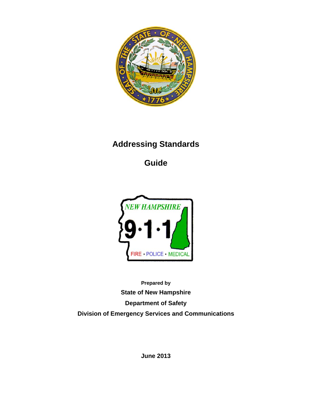

# **Addressing Standards**

**Guide** 



**Prepared by State of New Hampshire Department of Safety Division of Emergency Services and Communications** 

**June 2013**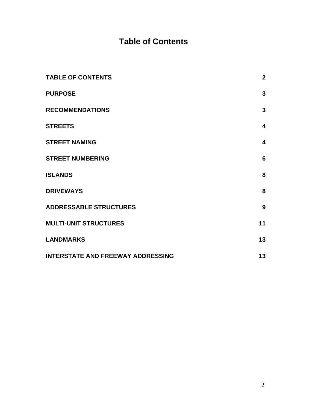# **Table of Contents**

| <b>TABLE OF CONTENTS</b>                 | $\overline{2}$          |
|------------------------------------------|-------------------------|
| <b>PURPOSE</b>                           | 3                       |
| <b>RECOMMENDATIONS</b>                   | $\mathbf{3}$            |
| <b>STREETS</b>                           | $\overline{\mathbf{4}}$ |
| <b>STREET NAMING</b>                     | $\overline{\mathbf{4}}$ |
| <b>STREET NUMBERING</b>                  | 6                       |
| <b>ISLANDS</b>                           | 8                       |
| <b>DRIVEWAYS</b>                         | 8                       |
| <b>ADDRESSABLE STRUCTURES</b>            | 9                       |
| <b>MULTI-UNIT STRUCTURES</b>             | 11                      |
| <b>LANDMARKS</b>                         | 13                      |
| <b>INTERSTATE AND FREEWAY ADDRESSING</b> | 13                      |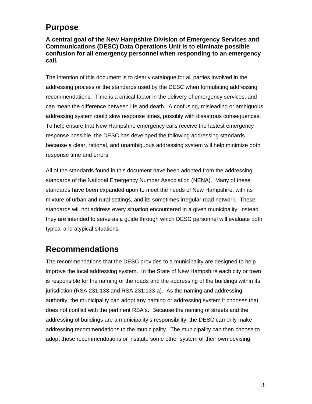#### **Purpose**

**A central goal of the New Hampshire Division of Emergency Services and Communications (DESC) Data Operations Unit is to eliminate possible confusion for all emergency personnel when responding to an emergency call.** 

The intention of this document is to clearly catalogue for all parties involved in the addressing process or the standards used by the DESC when formulating addressing recommendations. Time is a critical factor in the delivery of emergency services, and can mean the difference between life and death. A confusing, misleading or ambiguous addressing system could slow response times, possibly with disastrous consequences. To help ensure that New Hampshire emergency calls receive the fastest emergency response possible, the DESC has developed the following addressing standards because a clear, rational, and unambiguous addressing system will help minimize both response time and errors.

All of the standards found in this document have been adopted from the addressing standards of the National Emergency Number Association (NENA). Many of these standards have been expanded upon to meet the needs of New Hampshire, with its mixture of urban and rural settings, and its sometimes irregular road network. These standards will not address every situation encountered in a given municipality; instead they are intended to serve as a guide through which DESC personnel will evaluate both typical and atypical situations.

#### **Recommendations**

The recommendations that the DESC provides to a municipality are designed to help improve the local addressing system. In the State of New Hampshire each city or town is responsible for the naming of the roads and the addressing of the buildings within its jurisdiction (RSA 231:133 and RSA 231:133-a). As the naming and addressing authority, the municipality can adopt any naming or addressing system it chooses that does not conflict with the pertinent RSA's. Because the naming of streets and the addressing of buildings are a municipality's responsibility, the DESC can only make addressing recommendations to the municipality. The municipality can then choose to adopt those recommendations or institute some other system of their own devising.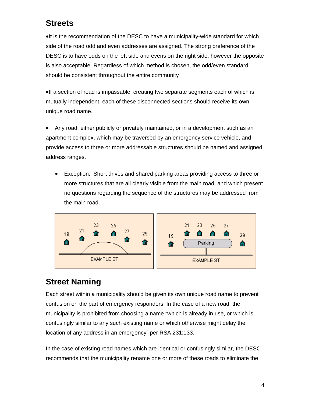### **Streets**

It is the recommendation of the DESC to have a municipality-wide standard for which side of the road odd and even addresses are assigned. The strong preference of the DESC is to have odds on the left side and evens on the right side, however the opposite is also acceptable. Regardless of which method is chosen, the odd/even standard should be consistent throughout the entire community

If a section of road is impassable, creating two separate segments each of which is mutually independent, each of these disconnected sections should receive its own unique road name.

 Any road, either publicly or privately maintained, or in a development such as an apartment complex, which may be traversed by an emergency service vehicle, and provide access to three or more addressable structures should be named and assigned address ranges.

 Exception: Short drives and shared parking areas providing access to three or more structures that are all clearly visible from the main road, and which present no questions regarding the sequence of the structures may be addressed from the main road.



### **Street Naming**

Each street within a municipality should be given its own unique road name to prevent confusion on the part of emergency responders. In the case of a new road, the municipality is prohibited from choosing a name "which is already in use, or which is confusingly similar to any such existing name or which otherwise might delay the location of any address in an emergency" per RSA 231:133.

In the case of existing road names which are identical or confusingly similar, the DESC recommends that the municipality rename one or more of these roads to eliminate the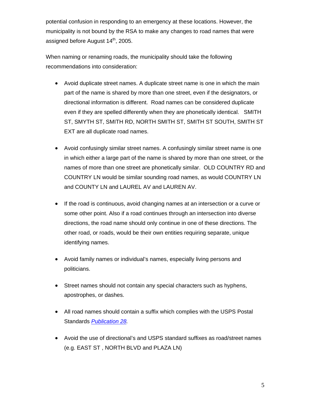potential confusion in responding to an emergency at these locations. However, the municipality is not bound by the RSA to make any changes to road names that were assigned before August 14<sup>th</sup>, 2005.

When naming or renaming roads, the municipality should take the following recommendations into consideration:

- Avoid duplicate street names. A duplicate street name is one in which the main part of the name is shared by more than one street, even if the designators, or directional information is different. Road names can be considered duplicate even if they are spelled differently when they are phonetically identical. SMITH ST, SMYTH ST, SMITH RD, NORTH SMITH ST, SMITH ST SOUTH, SMITH ST EXT are all duplicate road names.
- Avoid confusingly similar street names. A confusingly similar street name is one in which either a large part of the name is shared by more than one street, or the names of more than one street are phonetically similar. OLD COUNTRY RD and COUNTRY LN would be similar sounding road names, as would COUNTRY LN and COUNTY LN and LAUREL AV and LAUREN AV.
- If the road is continuous, avoid changing names at an intersection or a curve or some other point. Also if a road continues through an intersection into diverse directions, the road name should only continue in one of these directions. The other road, or roads, would be their own entities requiring separate, unique identifying names.
- Avoid family names or individual's names, especially living persons and politicians.
- Street names should not contain any special characters such as hyphens, apostrophes, or dashes.
- All road names should contain a suffix which complies with the USPS Postal Standards *Publication 28.*
- Avoid the use of directional's and USPS standard suffixes as road/street names (e.g. EAST ST , NORTH BLVD and PLAZA LN)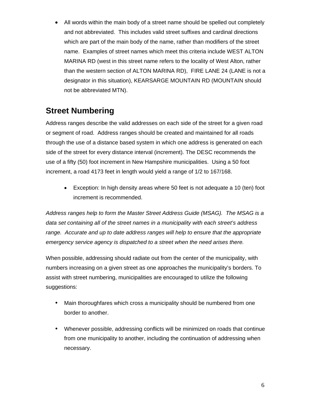• All words within the main body of a street name should be spelled out completely and not abbreviated. This includes valid street suffixes and cardinal directions which are part of the main body of the name, rather than modifiers of the street name. Examples of street names which meet this criteria include WEST ALTON MARINA RD (west in this street name refers to the locality of West Alton, rather than the western section of ALTON MARINA RD), FIRE LANE 24 (LANE is not a designator in this situation), KEARSARGE MOUNTAIN RD (MOUNTAIN should not be abbreviated MTN).

### **Street Numbering**

Address ranges describe the valid addresses on each side of the street for a given road or segment of road. Address ranges should be created and maintained for all roads through the use of a distance based system in which one address is generated on each side of the street for every distance interval (increment). The DESC recommends the use of a fifty (50) foot increment in New Hampshire municipalities. Using a 50 foot increment, a road 4173 feet in length would yield a range of 1/2 to 167/168.

 Exception: In high density areas where 50 feet is not adequate a 10 (ten) foot increment is recommended.

*Address ranges help to form the Master Street Address Guide (MSAG). The MSAG is a data set containing all of the street names in a municipality with each street's address range. Accurate and up to date address ranges will help to ensure that the appropriate emergency service agency is dispatched to a street when the need arises there.* 

When possible, addressing should radiate out from the center of the municipality, with numbers increasing on a given street as one approaches the municipality's borders. To assist with street numbering, municipalities are encouraged to utilize the following suggestions:

- Main thoroughfares which cross a municipality should be numbered from one border to another.
- Whenever possible, addressing conflicts will be minimized on roads that continue from one municipality to another, including the continuation of addressing when necessary.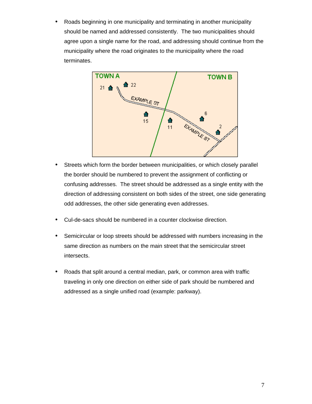Roads beginning in one municipality and terminating in another municipality should be named and addressed consistently. The two municipalities should agree upon a single name for the road, and addressing should continue from the municipality where the road originates to the municipality where the road terminates.



- Streets which form the border between municipalities, or which closely parallel the border should be numbered to prevent the assignment of conflicting or confusing addresses. The street should be addressed as a single entity with the direction of addressing consistent on both sides of the street, one side generating odd addresses, the other side generating even addresses.
- Cul-de-sacs should be numbered in a counter clockwise direction.
- Semicircular or loop streets should be addressed with numbers increasing in the same direction as numbers on the main street that the semicircular street intersects.
- Roads that split around a central median, park, or common area with traffic traveling in only one direction on either side of park should be numbered and addressed as a single unified road (example: parkway).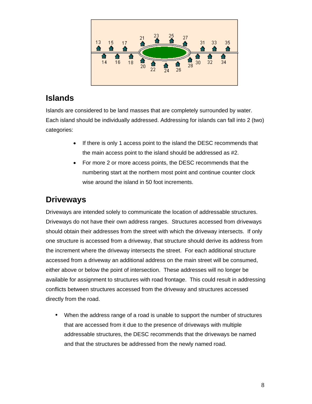

### **Islands**

Islands are considered to be land masses that are completely surrounded by water. Each island should be individually addressed. Addressing for islands can fall into 2 (two) categories:

- If there is only 1 access point to the island the DESC recommends that the main access point to the island should be addressed as #2.
- For more 2 or more access points, the DESC recommends that the numbering start at the northern most point and continue counter clock wise around the island in 50 foot increments.

# **Driveways**

Driveways are intended solely to communicate the location of addressable structures. Driveways do not have their own address ranges. Structures accessed from driveways should obtain their addresses from the street with which the driveway intersects. If only one structure is accessed from a driveway, that structure should derive its address from the increment where the driveway intersects the street. For each additional structure accessed from a driveway an additional address on the main street will be consumed, either above or below the point of intersection. These addresses will no longer be available for assignment to structures with road frontage. This could result in addressing conflicts between structures accessed from the driveway and structures accessed directly from the road.

 When the address range of a road is unable to support the number of structures that are accessed from it due to the presence of driveways with multiple addressable structures, the DESC recommends that the driveways be named and that the structures be addressed from the newly named road.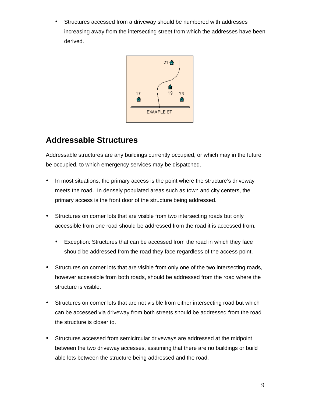Structures accessed from a driveway should be numbered with addresses increasing away from the intersecting street from which the addresses have been derived.



### **Addressable Structures**

Addressable structures are any buildings currently occupied, or which may in the future be occupied, to which emergency services may be dispatched.

- In most situations, the primary access is the point where the structure's driveway meets the road. In densely populated areas such as town and city centers, the primary access is the front door of the structure being addressed.
- Structures on corner lots that are visible from two intersecting roads but only accessible from one road should be addressed from the road it is accessed from.
	- Exception: Structures that can be accessed from the road in which they face should be addressed from the road they face regardless of the access point.
- Structures on corner lots that are visible from only one of the two intersecting roads, however accessible from both roads, should be addressed from the road where the structure is visible.
- Structures on corner lots that are not visible from either intersecting road but which can be accessed via driveway from both streets should be addressed from the road the structure is closer to.
- Structures accessed from semicircular driveways are addressed at the midpoint between the two driveway accesses, assuming that there are no buildings or build able lots between the structure being addressed and the road.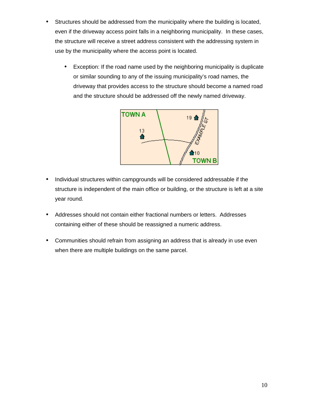- Structures should be addressed from the municipality where the building is located, even if the driveway access point falls in a neighboring municipality. In these cases, the structure will receive a street address consistent with the addressing system in use by the municipality where the access point is located.
	- Exception: If the road name used by the neighboring municipality is duplicate or similar sounding to any of the issuing municipality's road names, the driveway that provides access to the structure should become a named road and the structure should be addressed off the newly named driveway.



- Individual structures within campgrounds will be considered addressable if the structure is independent of the main office or building, or the structure is left at a site year round.
- Addresses should not contain either fractional numbers or letters. Addresses containing either of these should be reassigned a numeric address.
- Communities should refrain from assigning an address that is already in use even when there are multiple buildings on the same parcel.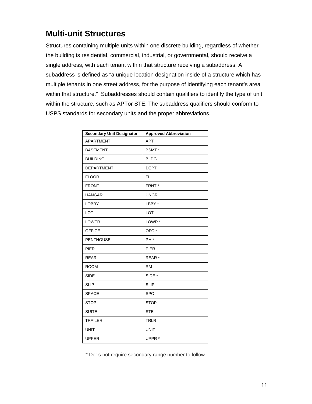### **Multi-unit Structures**

Structures containing multiple units within one discrete building, regardless of whether the building is residential, commercial, industrial, or governmental, should receive a single address, with each tenant within that structure receiving a subaddress. A subaddress is defined as "a unique location designation inside of a structure which has multiple tenants in one street address, for the purpose of identifying each tenant's area within that structure." Subaddresses should contain qualifiers to identify the type of unit within the structure, such as APTor STE. The subaddress qualifiers should conform to USPS standards for secondary units and the proper abbreviations.

| <b>Secondary Unit Designator</b> | <b>Approved Abbreviation</b> |
|----------------------------------|------------------------------|
| <b>APARTMENT</b>                 | <b>APT</b>                   |
| <b>BASEMENT</b>                  | BSMT *                       |
| <b>BUILDING</b>                  | <b>BLDG</b>                  |
| <b>DEPARTMENT</b>                | <b>DEPT</b>                  |
| <b>FLOOR</b>                     | <b>FL</b>                    |
| <b>FRONT</b>                     | FRNT <sup>*</sup>            |
| <b>HANGAR</b>                    | <b>HNGR</b>                  |
| <b>LOBBY</b>                     | LBBY *                       |
| <b>LOT</b>                       | <b>LOT</b>                   |
| <b>LOWER</b>                     | LOWR <sup>*</sup>            |
| <b>OFFICE</b>                    | OFC*                         |
| <b>PENTHOUSE</b>                 | PH <sup>*</sup>              |
| <b>PIER</b>                      | <b>PIER</b>                  |
| <b>REAR</b>                      | REAR <sup>*</sup>            |
| <b>ROOM</b>                      | <b>RM</b>                    |
| <b>SIDE</b>                      | SIDE *                       |
| <b>SLIP</b>                      | <b>SLIP</b>                  |
| <b>SPACE</b>                     | <b>SPC</b>                   |
| <b>STOP</b>                      | <b>STOP</b>                  |
| <b>SUITE</b>                     | <b>STE</b>                   |
| <b>TRAILER</b>                   | <b>TRLR</b>                  |
| <b>UNIT</b>                      | <b>UNIT</b>                  |
| <b>UPPER</b>                     | UPPR <sup>*</sup>            |

\* Does not require secondary range number to follow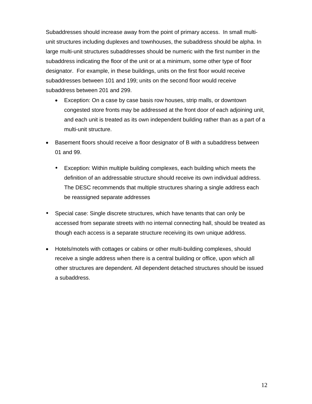Subaddresses should increase away from the point of primary access. In small multiunit structures including duplexes and townhouses, the subaddress should be alpha. In large multi-unit structures subaddresses should be numeric with the first number in the subaddress indicating the floor of the unit or at a minimum, some other type of floor designator. For example, in these buildings, units on the first floor would receive subaddresses between 101 and 199; units on the second floor would receive subaddress between 201 and 299.

- Exception: On a case by case basis row houses, strip malls, or downtown congested store fronts may be addressed at the front door of each adjoining unit, and each unit is treated as its own independent building rather than as a part of a multi-unit structure.
- Basement floors should receive a floor designator of B with a subaddress between 01 and 99.
	- Exception: Within multiple building complexes, each building which meets the definition of an addressable structure should receive its own individual address. The DESC recommends that multiple structures sharing a single address each be reassigned separate addresses
- Special case: Single discrete structures, which have tenants that can only be accessed from separate streets with no internal connecting hall, should be treated as though each access is a separate structure receiving its own unique address.
- Hotels/motels with cottages or cabins or other multi-building complexes, should receive a single address when there is a central building or office, upon which all other structures are dependent. All dependent detached structures should be issued a subaddress.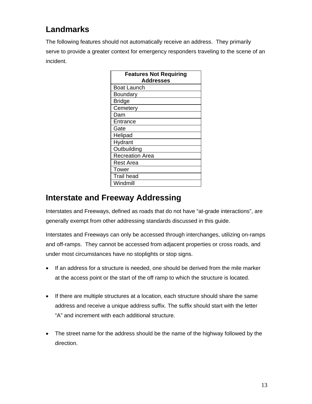### **Landmarks**

The following features should not automatically receive an address. They primarily serve to provide a greater context for emergency responders traveling to the scene of an incident.

| <b>Features Not Requiring</b><br><b>Addresses</b> |
|---------------------------------------------------|
| Boat Launch                                       |
| Boundary                                          |
| <b>Bridge</b>                                     |
| Cemetery                                          |
| Dam                                               |
| Entrance                                          |
| Gate                                              |
| Helipad                                           |
| Hydrant                                           |
| Outbuilding                                       |
| <b>Recreation Area</b>                            |
| Rest Area                                         |
| Tower                                             |
| <b>Trail head</b>                                 |
| Windmill                                          |

#### **Interstate and Freeway Addressing**

Interstates and Freeways, defined as roads that do not have "at-grade interactions", are generally exempt from other addressing standards discussed in this guide.

Interstates and Freeways can only be accessed through interchanges, utilizing on-ramps and off-ramps. They cannot be accessed from adjacent properties or cross roads, and under most circumstances have no stoplights or stop signs.

- If an address for a structure is needed, one should be derived from the mile marker at the access point or the start of the off ramp to which the structure is located.
- If there are multiple structures at a location, each structure should share the same address and receive a unique address suffix. The suffix should start with the letter "A" and increment with each additional structure.
- The street name for the address should be the name of the highway followed by the direction.